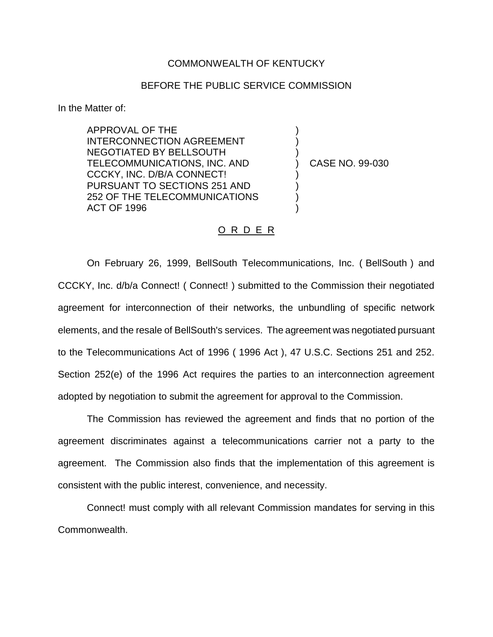## COMMONWEALTH OF KENTUCKY

## BEFORE THE PUBLIC SERVICE COMMISSION

In the Matter of:

APPROVAL OF THE INTERCONNECTION AGREEMENT NEGOTIATED BY BELLSOUTH TELECOMMUNICATIONS, INC. AND CCCKY, INC. D/B/A CONNECT! PURSUANT TO SECTIONS 251 AND 252 OF THE TELECOMMUNICATIONS ACT OF 1996

) CASE NO. 99-030

) ) )

) ) ) )

## O R D E R

On February 26, 1999, BellSouth Telecommunications, Inc. ( BellSouth ) and CCCKY, Inc. d/b/a Connect! ( Connect! ) submitted to the Commission their negotiated agreement for interconnection of their networks, the unbundling of specific network elements, and the resale of BellSouth's services. The agreement was negotiated pursuant to the Telecommunications Act of 1996 ( 1996 Act ), 47 U.S.C. Sections 251 and 252. Section 252(e) of the 1996 Act requires the parties to an interconnection agreement adopted by negotiation to submit the agreement for approval to the Commission.

The Commission has reviewed the agreement and finds that no portion of the agreement discriminates against a telecommunications carrier not a party to the agreement. The Commission also finds that the implementation of this agreement is consistent with the public interest, convenience, and necessity.

Connect! must comply with all relevant Commission mandates for serving in this Commonwealth.